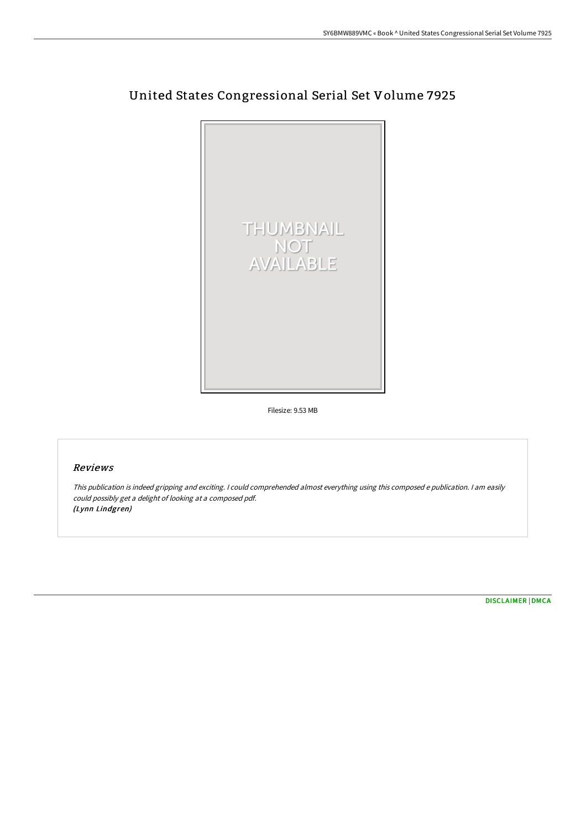

# United States Congressional Serial Set Volume 7925

Filesize: 9.53 MB

### Reviews

This publication is indeed gripping and exciting. I could comprehended almost everything using this composed <sup>e</sup> publication. I am easily could possibly get <sup>a</sup> delight of looking at <sup>a</sup> composed pdf. (Lynn Lindgren)

[DISCLAIMER](http://www.bookdirs.com/disclaimer.html) | [DMCA](http://www.bookdirs.com/dmca.html)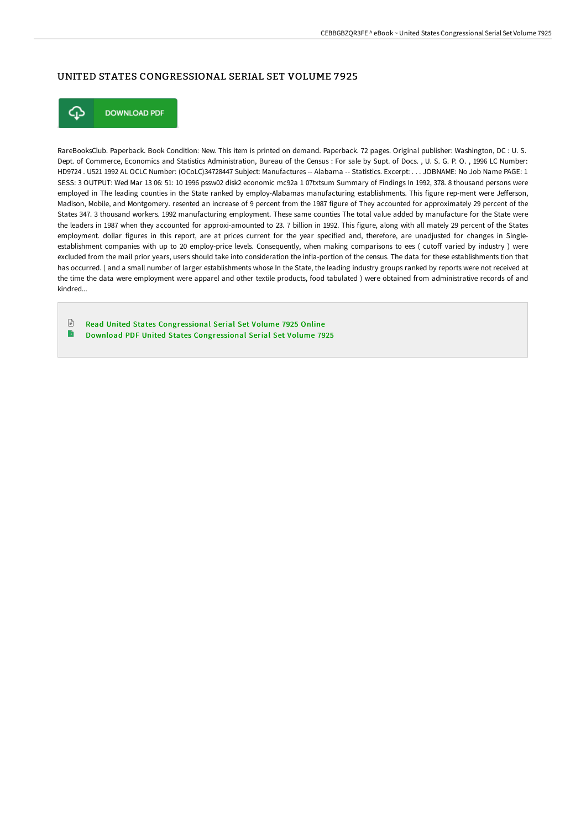### UNITED STATES CONGRESSIONAL SERIAL SET VOLUME 7925



**DOWNLOAD PDF** 

RareBooksClub. Paperback. Book Condition: New. This item is printed on demand. Paperback. 72 pages. Original publisher: Washington, DC : U. S. Dept. of Commerce, Economics and Statistics Administration, Bureau of the Census : For sale by Supt. of Docs. , U. S. G. P. O. , 1996 LC Number: HD9724 . U521 1992 AL OCLC Number: (OCoLC)34728447 Subject: Manufactures -- Alabama -- Statistics. Excerpt: . . . JOBNAME: No Job Name PAGE: 1 SESS: 3 OUTPUT: Wed Mar 13 06: 51: 10 1996 pssw02 disk2 economic mc92a 1 07txtsum Summary of Findings In 1992, 378. 8 thousand persons were employed in The leading counties in the State ranked by employ-Alabamas manufacturing establishments. This figure rep-ment were Jefferson, Madison, Mobile, and Montgomery. resented an increase of 9 percent from the 1987 figure of They accounted for approximately 29 percent of the States 347. 3 thousand workers. 1992 manufacturing employment. These same counties The total value added by manufacture for the State were the leaders in 1987 when they accounted for approxi-amounted to 23. 7 billion in 1992. This figure, along with all mately 29 percent of the States employment. dollar figures in this report, are at prices current for the year specified and, therefore, are unadjusted for changes in Singleestablishment companies with up to 20 employ-price levels. Consequently, when making comparisons to ees ( cutoff varied by industry ) were excluded from the mail prior years, users should take into consideration the infla-portion of the census. The data for these establishments tion that has occurred. ( and a small number of larger establishments whose In the State, the leading industry groups ranked by reports were not received at the time the data were employment were apparel and other textile products, food tabulated ) were obtained from administrative records of and kindred...

 $\mathbb{R}$ Read United States [Congressional](http://www.bookdirs.com/united-states-congressional-serial-set-volume-79-1.html) Serial Set Volume 7925 Online B Download PDF United States [Congressional](http://www.bookdirs.com/united-states-congressional-serial-set-volume-79-1.html) Serial Set Volume 7925